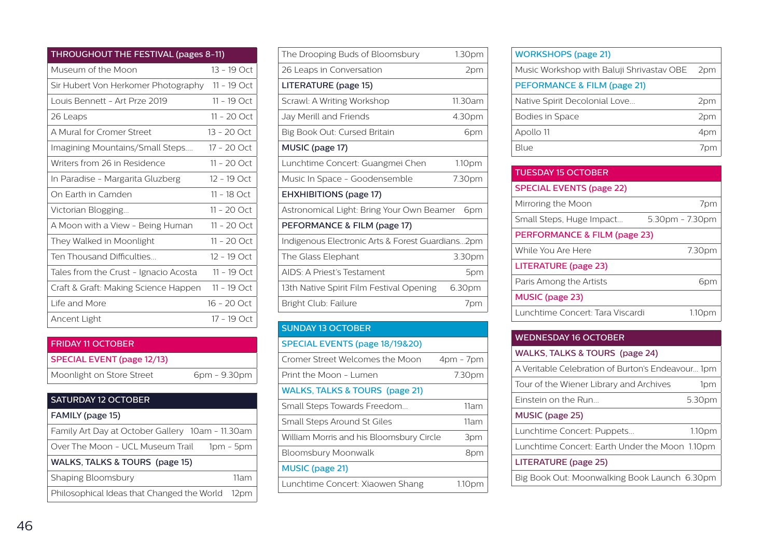| THROUGHOUT THE FESTIVAL (pages 8-11)  |               |  |
|---------------------------------------|---------------|--|
| Museum of the Moon                    | $13 - 19$ Oct |  |
| Sir Hubert Von Herkomer Photography   | $11 - 19$ Oct |  |
| Louis Bennett - Art Prze 2019         | $11 - 19$ Oct |  |
| 26 Leaps                              | $11 - 20$ Oct |  |
| A Mural for Cromer Street             | $13 - 20$ Oct |  |
| Imagining Mountains/Small Steps       | 17 - 20 Oct   |  |
| Writers from 26 in Residence          | $11 - 20$ Oct |  |
| In Paradise - Margarita Gluzberg      | 12 - 19 Oct   |  |
| On Farth in Camden                    | 11 - 18 Oct   |  |
| Victorian Blogging                    | $11 - 20$ Oct |  |
| A Moon with a View - Being Human      | $11 - 20$ Oct |  |
| They Walked in Moonlight              | $11 - 20$ Oct |  |
| Ten Thousand Difficulties             | $12 - 19$ Oct |  |
| Tales from the Crust - Ignacio Acosta | $11 - 19$ Oct |  |
| Craft & Graft: Making Science Happen  | $11 - 19$ Oct |  |
| I ife and More                        | $16 - 20$ Oct |  |
| Ancent Light                          | $17 - 19$ Oct |  |

| <b>FRIDAY 11 OCTOBER</b>   |              |
|----------------------------|--------------|
| SPECIAL EVENT (page 12/13) |              |
| Moonlight on Store Street  | 6pm - 9.30pm |

| <b>SATURDAY 12 OCTOBER</b>                       |             |
|--------------------------------------------------|-------------|
| FAMILY (page 15)                                 |             |
| Family Art Day at October Gallery 10am - 11.30am |             |
| Over The Moon - UCL Museum Trail                 | $1pm - 5pm$ |
| WALKS, TALKS & TOURS (page 15)                   |             |
| Shaping Bloomsbury                               | 11am        |
| Philosophical Ideas that Changed the World       | 12pm        |

| The Drooping Buds of Bloomsbury                  | 1.30pm             |  |
|--------------------------------------------------|--------------------|--|
| 26 Leaps in Conversation                         | 2pm                |  |
| LITERATURE (page 15)                             |                    |  |
| Scrawl: A Writing Workshop                       | 11.30am            |  |
| Jay Merill and Friends                           | 4.30pm             |  |
| Big Book Out: Cursed Britain                     | 6pm                |  |
| MUSIC (page 17)                                  |                    |  |
| Lunchtime Concert: Guangmei Chen                 | 1.10 <sub>pm</sub> |  |
| Music In Space - Goodensemble                    | 7.30pm             |  |
| <b>EHXHIBITIONS (page 17)</b>                    |                    |  |
| Astronomical Light: Bring Your Own Beamer        | 6pm                |  |
| PEFORMANCE & FILM (page 17)                      |                    |  |
| Indigenous Electronic Arts & Forest Guardians2pm |                    |  |
| The Glass Elephant                               | 3.30pm             |  |
| AIDS: A Priest's Testament                       | 5pm                |  |
| 13th Native Spirit Film Festival Opening         | 6.30pm             |  |
| Bright Club: Failure                             | 7pm                |  |
|                                                  |                    |  |

| <b>SUNDAY 13 OCTOBER</b>                  |             |
|-------------------------------------------|-------------|
| SPECIAL EVENTS (page 18/19&20)            |             |
| Cromer Street Welcomes the Moon           | $4pm - 7pm$ |
| Print the Moon - Lumen                    | 7.30pm      |
| <b>WALKS, TALKS &amp; TOURS (page 21)</b> |             |
| Small Steps Towards Freedom               | 11am        |
| Small Steps Around St Giles               | 11am        |
| William Morris and his Bloomsbury Circle  | 3pm         |
| Bloomsbury Moonwalk                       | 8pm         |
| <b>MUSIC</b> (page 21)                    |             |
| Lunchtime Concert: Xiaowen Shang          | 1.10pm      |
|                                           |             |

| <b>WORKSHOPS (page 21)</b>                |     |
|-------------------------------------------|-----|
| Music Workshop with Baluji Shrivastav OBE | 2pm |
| PEFORMANCE & FILM (page 21)               |     |
| Native Spirit Decolonial Love             | 2pm |
| <b>Bodies in Space</b>                    | 2pm |
| Apollo 11                                 | 4pm |
| Blue                                      |     |
|                                           |     |

| <b>TUESDAY 15 OCTOBER</b>        |                 |
|----------------------------------|-----------------|
| <b>SPECIAL EVENTS (page 22)</b>  |                 |
| Mirroring the Moon               | 7pm             |
| Small Steps, Huge Impact         | 5.30pm - 7.30pm |
| PERFORMANCE & FILM (page 23)     |                 |
| While You Are Here               | 7.30pm          |
| LITERATURE (page 23)             |                 |
| Paris Among the Artists          | 6pm             |
| MUSIC (page 23)                  |                 |
| Lunchtime Concert: Tara Viscardi | 1.10pm          |

| <b>WEDNESDAY 16 OCTOBER</b>                       |                    |
|---------------------------------------------------|--------------------|
| WALKS, TALKS & TOURS (page 24)                    |                    |
| A Veritable Celebration of Burton's Endeavour 1pm |                    |
| Tour of the Wiener Library and Archives           | 1pm                |
| Finstein on the Run                               | 5.30pm             |
| MUSIC (page 25)                                   |                    |
| Lunchtime Concert: Puppets                        | 1.10 <sub>pm</sub> |
| Lunchtime Concert: Earth Under the Moon 1.10pm    |                    |
| LITERATURE (page 25)                              |                    |
| Big Book Out: Moonwalking Book Launch 6.30pm      |                    |